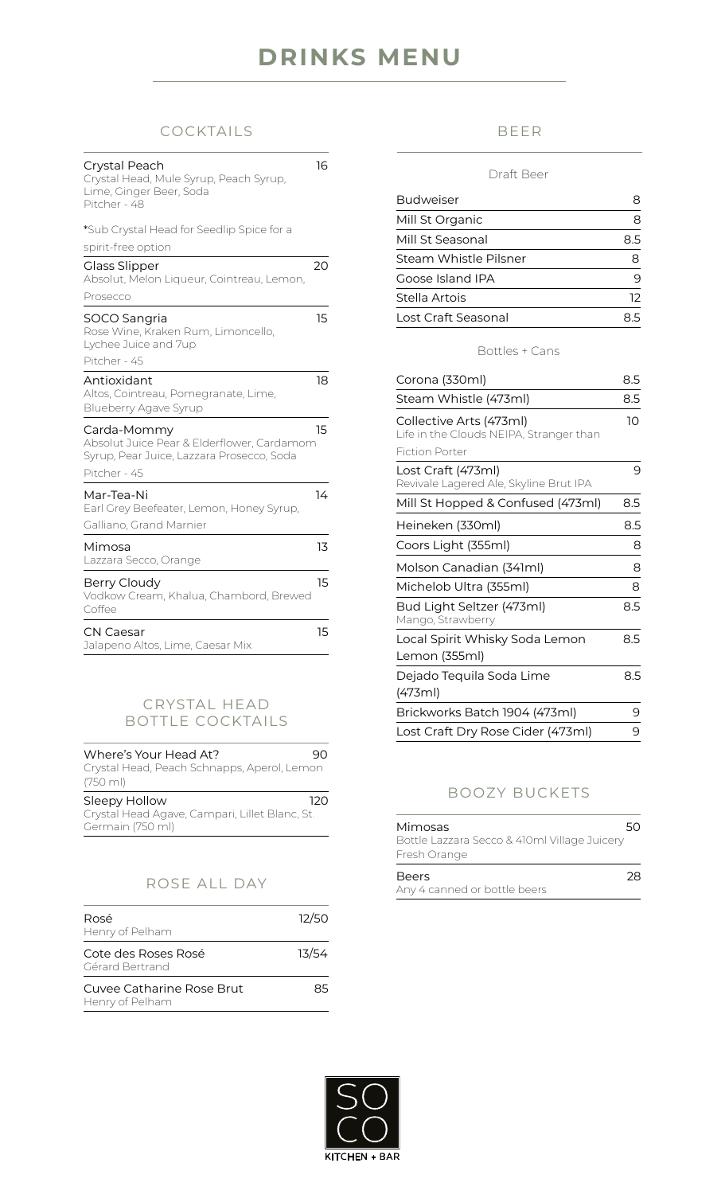# **DRINKS MENU**

## COCKTAILS

| Crystal Peach<br>Crystal Head, Mule Syrup, Peach Syrup,<br>Lime, Ginger Beer, Soda<br>Pitcher - 48     | 16 |
|--------------------------------------------------------------------------------------------------------|----|
| *Sub Crystal Head for Seedlip Spice for a                                                              |    |
| spirit-free option                                                                                     |    |
| <b>Glass Slipper</b><br>Absolut, Melon Liqueur, Cointreau, Lemon,                                      | 20 |
| Prosecco                                                                                               |    |
| SOCO Sangria<br>Rose Wine, Kraken Rum, Limoncello,<br>Lychee Juice and 7up                             | 15 |
| Pitcher - 45                                                                                           |    |
| Antioxidant<br>Altos, Cointreau, Pomegranate, Lime,<br>Blueberry Agave Syrup                           | 18 |
| Carda-Mommy<br>Absolut Juice Pear & Elderflower, Cardamom<br>Syrup, Pear Juice, Lazzara Prosecco, Soda | 15 |
| Pitcher - 45                                                                                           |    |
| Mar-Tea-Ni<br>Earl Grey Beefeater, Lemon, Honey Syrup,<br>Galliano, Grand Marnier                      | 14 |
|                                                                                                        |    |
| Mimosa<br>Lazzara Secco, Orange                                                                        | 13 |
| Berry Cloudy<br>Vodkow Cream, Khalua, Chambord, Brewed<br>Coffee                                       | 15 |
| CN Caesar<br>Jalapeno Altos, Lime, Caesar Mix                                                          | 15 |

## CRYSTAL HEAD BOTTLE COCKTAILS

| Where's Your Head At?<br>Crystal Head, Peach Schnapps, Aperol, Lemon<br>$(750 \text{ ml})$ | чн  |
|--------------------------------------------------------------------------------------------|-----|
| Sleepy Hollow<br>Crystal Head Agave, Campari, Lillet Blanc, St.<br>Germain (750 ml)        | 12O |

# ROSE ALL DAY

| Rosé<br>Henry of Pelham                      | 12/50 |
|----------------------------------------------|-------|
| Cote des Roses Rosé<br>Gérard Bertrand       | 13/54 |
| Cuvee Catharine Rose Brut<br>Henry of Pelham | 85    |

## BEER

#### Draft Beer

| <b>Budweiser</b>      |     |
|-----------------------|-----|
| Mill St Organic       |     |
| Mill St Seasonal      | 85  |
| Steam Whistle Pilsner |     |
| Goose Island IPA      |     |
| Stella Artois         | 12. |
| Lost Craft Seasonal   |     |

#### Bottles + Cans

| Corona (330ml)                                                     | 8.5 |
|--------------------------------------------------------------------|-----|
| Steam Whistle (473ml)                                              | 8.5 |
| Collective Arts (473ml)<br>Life in the Clouds NEIPA, Stranger than | 10  |
| <b>Fiction Porter</b>                                              |     |
| Lost Craft (473ml)<br>Revivale Lagered Ale, Skyline Brut IPA       | 9   |
| Mill St Hopped & Confused (473ml)                                  | 8.5 |
| Heineken (330ml)                                                   | 8.5 |
| Coors Light (355ml)                                                | 8   |
| Molson Canadian (341ml)                                            | 8   |
| Michelob Ultra (355ml)                                             | 8   |
| Bud Light Seltzer (473ml)<br>Mango, Strawberry                     | 8.5 |
| Local Spirit Whisky Soda Lemon<br>Lemon (355ml)                    | 8.5 |
| Dejado Tequila Soda Lime                                           | 8.5 |
| (473ml)                                                            |     |
| Brickworks Batch 1904 (473ml)                                      | 9   |
| Lost Craft Dry Rose Cider (473ml)                                  | 9   |

## BOOZY BUCKETS

| Mimosas                                      | 50. |
|----------------------------------------------|-----|
| Bottle Lazzara Secco & 410ml Village Juicery |     |
| Fresh Orange                                 |     |
| Beers                                        | 28  |
| Any 4 canned or bottle beers                 |     |